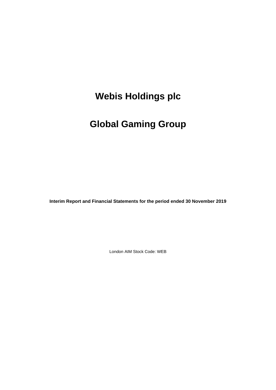# **Global Gaming Group**

**Interim Report and Financial Statements for the period ended 30 November 2019**

London AIM Stock Code: WEB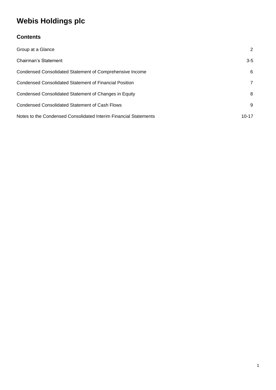### **Contents**

| Group at a Glance                                                | 2              |
|------------------------------------------------------------------|----------------|
| Chairman's Statement                                             | $3 - 5$        |
| Condensed Consolidated Statement of Comprehensive Income         | 6              |
| Condensed Consolidated Statement of Financial Position           | $\overline{7}$ |
| Condensed Consolidated Statement of Changes in Equity            | 8              |
| <b>Condensed Consolidated Statement of Cash Flows</b>            | 9              |
| Notes to the Condensed Consolidated Interim Financial Statements | $10 - 17$      |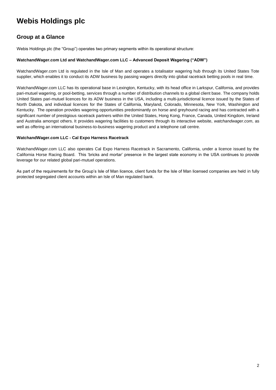### **Group at a Glance**

Webis Holdings plc (the "Group") operates two primary segments within its operational structure:

#### **WatchandWager.com Ltd and WatchandWager.com LLC – Advanced Deposit Wagering ("ADW")**

WatchandWager.com Ltd is regulated in the Isle of Man and operates a totalisator wagering hub through its United States Tote supplier, which enables it to conduct its ADW business by passing wagers directly into global racetrack betting pools in real time.

WatchandWager.com LLC has its operational base in Lexington, Kentucky, with its head office in Larkspur, California, and provides pari-mutuel wagering, or pool-betting, services through a number of distribution channels to a global client base. The company holds United States pari-mutuel licences for its ADW business in the USA, including a multi-jurisdictional licence issued by the States of North Dakota, and individual licences for the States of California, Maryland, Colorado, Minnesota, New York, Washington and Kentucky. The operation provides wagering opportunities predominantly on horse and greyhound racing and has contracted with a significant number of prestigious racetrack partners within the United States, Hong Kong, France, Canada, United Kingdom, Ireland and Australia amongst others. It provides wagering facilities to customers through its interactive website, *watchandwager.com*, as well as offering an international business-to-business wagering product and a telephone call centre.

#### **WatchandWager.com LLC - Cal Expo Harness Racetrack**

WatchandWager.com LLC also operates Cal Expo Harness Racetrack in Sacramento, California, under a licence issued by the California Horse Racing Board. This 'bricks and mortar' presence in the largest state economy in the USA continues to provide leverage for our related global pari-mutuel operations.

As part of the requirements for the Group's Isle of Man licence, client funds for the Isle of Man licensed companies are held in fully protected segregated client accounts within an Isle of Man regulated bank.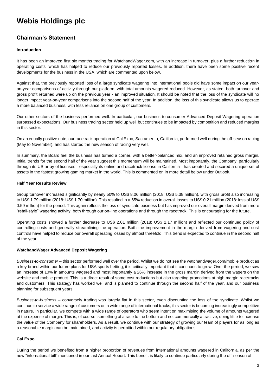### **Chairman's Statement**

#### **Introduction**

It has been an improved first six months trading for WatchandWager.com, with an increase in turnover, plus a further reduction in operating costs, which has helped to reduce our previously reported losses. In addition, there have been some positive recent developments for the business in the USA, which are commented upon below.

Against that, the previously reported loss of a large syndicate wagering into international pools did have some impact on our yearon-year comparisons of activity through our platform, with total amounts wagered reduced. However, as stated, both turnover and gross profit returned were up on the previous year - an improved situation. It should be noted that the loss of the syndicate will no longer impact year-on-year comparisons into the second half of the year. In addition, the loss of this syndicate allows us to operate a more balanced business, with less reliance on one group of customers.

Our other sectors of the business performed well. In particular, our business-to-consumer Advanced Deposit Wagering operation surpassed expectations. Our business trading sector held up well but continues to be impacted by competition and reduced margins in this sector.

On an equally positive note, our racetrack operation at Cal Expo, Sacramento, California, performed well during the off-season racing (May to November), and has started the new season of racing very well.

In summary, the Board feel the business has turned a corner, with a better-balanced mix, and an improved retained gross margin. Initial trends for the second half of the year suggest this momentum will be maintained. Most importantly, the Company, particularly through its US array of licenses - especially its online and racetrack license in California - has created and secured a unique set of assets in the fastest growing gaming market in the world. This is commented on in more detail below under Outlook.

#### **Half Year Results Review**

Group turnover increased significantly by nearly 50% to US\$ 8.06 million (2018: US\$ 5.38 million), with gross profit also increasing to US\$ 1.79 million (2018: US\$ 1.70 million). This resulted in a 65% reduction in overall losses to US\$ 0.21 million (2018: loss of US\$ 0.59 million) for the period. This again reflects the loss of syndicate business but has improved our overall margin derived from more "retail-style" wagering activity, both through our on-line operations and through the racetrack. This is encouraging for the future.

Operating costs showed a further decrease to US\$ 2.01 million (2018: US\$ 2.17 million) and reflected our continued policy of controlling costs and generally streamlining the operation. Both the improvement in the margin derived from wagering and cost controls have helped to reduce our overall operating losses by almost threefold. This trend is expected to continue in the second half of the year.

#### **WatchandWager Advanced Deposit Wagering**

*Business-to-consumer* – this sector performed well over the period. Whilst we do not see the watchandwager.com/mobile product as a key brand within our future plans for USA sports betting, it is critically important that it continues to grow. Over the period, we saw an increase of 10% in amounts wagered and most importantly a 26% increase in the gross margin derived from the wagers on the website and mobile product. This is a direct result of some cost reductions but also targeting promotions at high margin racetracks and customers. This strategy has worked well and is planned to continue through the second half of the year, and our business planning for subsequent years.

*Business-to-business* – conversely trading was largely flat in this sector, even discounting the loss of the syndicate. Whilst we continue to service a wide range of customers on a wide range of international tracks, this sector is becoming increasingly competitive in nature. In particular, we compete with a wide range of operators who seem intent on maximising the volume of amounts wagered at the expense of margin. This is, of course, something of a race to the bottom and not commercially attractive, doing little to increase the value of the Company for shareholders. As a result, we continue with our strategy of growing our team of players for as long as a reasonable margin can be maintained, and activity is permitted within our regulatory obligations.

#### **Cal Expo**

During the period we benefited from a higher proportion of revenues from international amounts wagered in California, as per the new "international bill" mentioned in our last Annual Report. This benefit is likely to continue particularly during the off-season of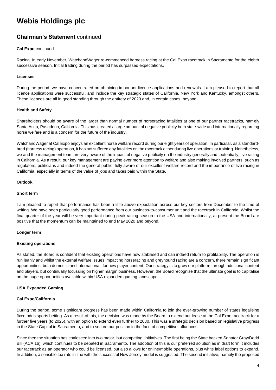### **Chairman's Statement** continued

#### **Cal Expo** continued

Racing. In early November, WatchandWager re-commenced harness racing at the Cal Expo racetrack in Sacramento for the eighth successive season. Initial trading during the period has surpassed expectations.

#### **Licenses**

During the period, we have concentrated on obtaining important licence applications and renewals. I am pleased to report that all licence applications were successful, and include the key strategic states of California, New York and Kentucky, amongst others. These licences are all in good standing through the entirety of 2020 and, in certain cases, beyond.

#### **Health and Safety**

Shareholders should be aware of the larger than normal number of horseracing fatalities at one of our partner racetracks, namely Santa Anita, Pasadena, California. This has created a large amount of negative publicity both state-wide and internationally regarding horse welfare and is a concern for the future of the industry.

WatchandWager at Cal Expo enjoys an excellent horse welfare record during our eight years of operation. In particular, as a standardbred (harness racing) operation, it has not suffered any fatalities on the racetrack either during live operations or training. Nonetheless, we and the management team are very aware of the impact of negative publicity on the industry generally and, potentially, live racing in California. As a result, our key management are paying ever more attention to welfare and also making involved partners, such as regulators, politicians and indeed the general public, fully aware of our excellent welfare record and the importance of live racing in California, especially in terms of the value of jobs and taxes paid within the State.

#### **Outlook**

#### **Short term**

I am pleased to report that performance has been a little above expectation across our key sectors from December to the time of writing. We have seen particularly good performance from our business-to-consumer unit and the racetrack in California. Whilst the final quarter of the year will be very important during peak racing season in the USA and internationally, at present the Board are positive that the momentum can be maintained to end May 2020 and beyond.

#### **Longer term**

#### **Existing operations**

As stated, the Board is confident that existing operations have now stabilised and can indeed return to profitability. The operation is run leanly and whilst the external welfare issues impacting horseracing and greyhound racing are a concern, there remain significant opportunities, both domestic and international, for new player content. Our strategy is to grow our platform through additional content and players, but continually focussing on higher margin business. However, the Board recognise that the ultimate goal is to capitalise on the huge opportunities available within USA expanded gaming landscape.

#### **USA Expanded Gaming**

#### **Cal Expo/California**

During the period, some significant progress has been made within California to join the ever-growing number of states legalising fixed odds sports betting. As a result of this, the decision was made by the Board to extend our lease at the Cal Expo racetrack for a further five years (to 2025), with an option to extend even further to 2030. This was a strategic decision based on legislative progress in the State Capitol in Sacramento, and to secure our position in the face of competitive influences.

Since then the situation has coalesced into two major, but competing, initiatives. The first being the State backed Senator Gray/Dodd Bill (ACA 16), which continues to be debated in Sacramento. The adoption of this is our preferred solution as in draft form it includes our racetrack as an operator who could be licensed, but also allows for online/mobile operations, plus white label options to expand. In addition, a sensible tax rate in line with the successful New Jersey model is suggested. The second initiative, namely the proposed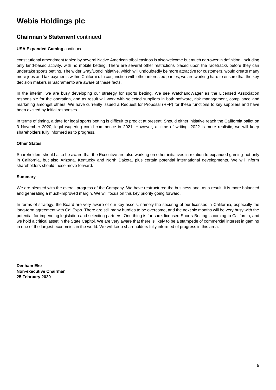### **Chairman's Statement** continued

#### **USA Expanded Gaming** continued

constitutional amendment tabled by several Native American tribal casinos is also welcome but much narrower in definition, including only land-based activity, with no mobile betting. There are several other restrictions placed upon the racetracks before they can undertake sports betting. The wider Gray/Dodd initiative, which will undoubtedly be more attractive for customers, would create many more jobs and tax payments within California. In conjunction with other interested parties, we are working hard to ensure that the key decision makers in Sacramento are aware of these facts.

In the interim, we are busy developing our strategy for sports betting. We see WatchandWager as the Licensed Association responsible for the operation, and as result will work with selected suppliers in both software, risk management, compliance and marketing amongst others. We have currently issued a Request for Proposal (RFP) for these functions to key suppliers and have been excited by initial responses.

In terms of timing, a date for legal sports betting is difficult to predict at present. Should either initiative reach the California ballot on 3 November 2020, legal wagering could commence in 2021. However, at time of writing, 2022 is more realistic, we will keep shareholders fully informed as to progress.

#### **Other States**

Shareholders should also be aware that the Executive are also working on other initiatives in relation to expanded gaming not only in California, but also Arizona, Kentucky and North Dakota, plus certain potential international developments. We will inform shareholders should these move forward.

#### **Summary**

We are pleased with the overall progress of the Company. We have restructured the business and, as a result, it is more balanced and generating a much-improved margin. We will focus on this key priority going forward.

In terms of strategy, the Board are very aware of our key assets, namely the securing of our licenses in California, especially the long-term agreement with Cal Expo. There are still many hurdles to be overcome, and the next six months will be very busy with the potential for impending legislation and selecting partners. One thing is for sure: licensed Sports Betting is coming to California, and we hold a critical asset in the State Capitol. We are very aware that there is likely to be a stampede of commercial interest in gaming in one of the largest economies in the world. We will keep shareholders fully informed of progress in this area.

**Denham Eke Non-executive Chairman 25 February 2020**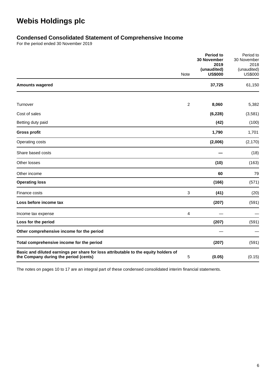### **Condensed Consolidated Statement of Comprehensive Income**

For the period ended 30 November 2019

|                                                                                                                              | Note           | Period to<br><b>30 November</b><br>2019<br>(unaudited)<br><b>US\$000</b> | Period to<br>30 November<br>2018<br>(unaudited)<br><b>US\$000</b> |
|------------------------------------------------------------------------------------------------------------------------------|----------------|--------------------------------------------------------------------------|-------------------------------------------------------------------|
| <b>Amounts wagered</b>                                                                                                       |                | 37,725                                                                   | 61,150                                                            |
|                                                                                                                              |                |                                                                          |                                                                   |
| Turnover                                                                                                                     | $\overline{2}$ | 8,060                                                                    | 5,382                                                             |
| Cost of sales                                                                                                                |                | (6, 228)                                                                 | (3,581)                                                           |
| Betting duty paid                                                                                                            |                | (42)                                                                     | (100)                                                             |
| <b>Gross profit</b>                                                                                                          |                | 1,790                                                                    | 1,701                                                             |
| Operating costs                                                                                                              |                | (2,006)                                                                  | (2, 170)                                                          |
| Share based costs                                                                                                            |                |                                                                          | (18)                                                              |
| Other losses                                                                                                                 |                | (10)                                                                     | (163)                                                             |
| Other income                                                                                                                 |                | 60                                                                       | 79                                                                |
| <b>Operating loss</b>                                                                                                        |                | (166)                                                                    | (571)                                                             |
| Finance costs                                                                                                                | 3              | (41)                                                                     | (20)                                                              |
| Loss before income tax                                                                                                       |                | (207)                                                                    | (591)                                                             |
| Income tax expense                                                                                                           | $\overline{4}$ |                                                                          |                                                                   |
| Loss for the period                                                                                                          |                | (207)                                                                    | (591)                                                             |
| Other comprehensive income for the period                                                                                    |                |                                                                          |                                                                   |
| Total comprehensive income for the period                                                                                    |                | (207)                                                                    | (591)                                                             |
| Basic and diluted earnings per share for loss attributable to the equity holders of<br>the Company during the period (cents) | 5              | (0.05)                                                                   | (0.15)                                                            |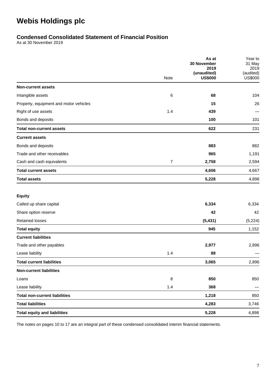### **Condensed Consolidated Statement of Financial Position**

As at 30 November 2019

|                                        |                | As at<br>30 November | Year to<br>31 May |
|----------------------------------------|----------------|----------------------|-------------------|
|                                        |                | 2019<br>(unaudited)  | 2019<br>(audited) |
|                                        | Note           | <b>US\$000</b>       | <b>US\$000</b>    |
| <b>Non-current assets</b>              |                |                      |                   |
| Intangible assets                      | 6              | 68                   | 104               |
| Property, equipment and motor vehicles |                | 15                   | 26                |
| Right of use assets                    | 1.4            | 439                  |                   |
| Bonds and deposits                     |                | 100                  | 101               |
| <b>Total non-current assets</b>        |                | 622                  | 231               |
| <b>Current assets</b>                  |                |                      |                   |
| Bonds and deposits                     |                | 883                  | 882               |
| Trade and other receivables            |                | 965                  | 1,191             |
| Cash and cash equivalents              | $\overline{7}$ | 2,758                | 2,594             |
| <b>Total current assets</b>            |                | 4,606                | 4,667             |
| <b>Total assets</b>                    |                | 5,228                | 4,898             |
| <b>Equity</b>                          |                |                      |                   |
| Called up share capital                |                | 6,334                | 6,334             |
| Share option reserve                   |                | 42                   | 42                |
| <b>Retained losses</b>                 |                | (5, 431)             | (5, 224)          |
| <b>Total equity</b>                    |                | 945                  | 1,152             |
| <b>Current liabilities</b>             |                |                      |                   |
| Trade and other payables               |                | 2,977                | 2,896             |
| Lease liability                        | 1.4            | 88                   |                   |
| <b>Total current liabilities</b>       |                | 3,065                | 2,896             |
| <b>Non-current liabilities</b>         |                |                      |                   |
| Loans                                  | 8              | 850                  | 850               |
| Lease liability                        | 1.4            | 368                  |                   |
| <b>Total non-current liabilities</b>   |                | 1,218                | 850               |
| <b>Total liabilities</b>               |                | 4,283                | 3,746             |
| <b>Total equity and liabilities</b>    |                | 5,228                | 4,898             |
|                                        |                |                      |                   |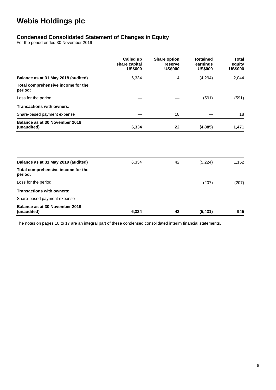### **Condensed Consolidated Statement of Changes in Equity**

For the period ended 30 November 2019

|                                               | Called up<br>share capital<br><b>US\$000</b> | <b>Share option</b><br>reserve<br><b>US\$000</b> | <b>Retained</b><br>earnings<br><b>US\$000</b> | <b>Total</b><br>equity<br><b>US\$000</b> |
|-----------------------------------------------|----------------------------------------------|--------------------------------------------------|-----------------------------------------------|------------------------------------------|
| Balance as at 31 May 2018 (audited)           | 6,334                                        | 4                                                | (4,294)                                       | 2,044                                    |
| Total comprehensive income for the<br>period: |                                              |                                                  |                                               |                                          |
| Loss for the period                           |                                              |                                                  | (591)                                         | (591)                                    |
| <b>Transactions with owners:</b>              |                                              |                                                  |                                               |                                          |
| Share-based payment expense                   |                                              | 18                                               |                                               | 18                                       |
| Balance as at 30 November 2018<br>(unaudited) | 6,334                                        | 22                                               | (4,885)                                       | 1,471                                    |
|                                               |                                              |                                                  |                                               |                                          |
| Balance as at 31 May 2019 (audited)           | 6,334                                        | 42                                               | (5, 224)                                      | 1,152                                    |
| Total comprehensive income for the<br>period: |                                              |                                                  |                                               |                                          |
| Loss for the period                           |                                              |                                                  | (207)                                         | (207)                                    |
| <b>Transactions with owners:</b>              |                                              |                                                  |                                               |                                          |
| Share-based payment expense                   |                                              |                                                  |                                               |                                          |
| Balance as at 30 November 2019<br>(unaudited) | 6,334                                        | 42                                               | (5, 431)                                      | 945                                      |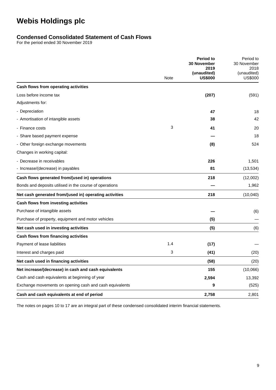### **Condensed Consolidated Statement of Cash Flows**

For the period ended 30 November 2019

|                                                         |             | <b>Period to</b><br><b>30 November</b> | Period to<br>30 November      |
|---------------------------------------------------------|-------------|----------------------------------------|-------------------------------|
|                                                         |             | 2019                                   | 2018                          |
|                                                         | <b>Note</b> | (unaudited)<br><b>US\$000</b>          | (unaudited)<br><b>US\$000</b> |
| Cash flows from operating activities                    |             |                                        |                               |
| Loss before income tax                                  |             | (207)                                  | (591)                         |
| Adjustments for:                                        |             |                                        |                               |
| - Depreciation                                          |             | 47                                     | 18                            |
| - Amortisation of intangible assets                     |             | 38                                     | 42                            |
| - Finance costs                                         | 3           | 41                                     | 20                            |
| - Share based payment expense                           |             |                                        | 18                            |
| - Other foreign exchange movements                      |             | (8)                                    | 524                           |
| Changes in working capital:                             |             |                                        |                               |
| - Decrease in receivables                               |             | 226                                    | 1,501                         |
| - Increase/(decrease) in payables                       |             | 81                                     | (13, 534)                     |
| Cash flows generated from/(used in) operations          |             | 218                                    | (12,002)                      |
| Bonds and deposits utilised in the course of operations |             |                                        | 1,962                         |
| Net cash generated from/(used in) operating activities  |             | 218                                    | (10,040)                      |
| Cash flows from investing activities                    |             |                                        |                               |
| Purchase of intangible assets                           |             |                                        | (6)                           |
| Purchase of property, equipment and motor vehicles      |             | (5)                                    |                               |
| Net cash used in investing activities                   |             | (5)                                    | (6)                           |
| Cash flows from financing activities                    |             |                                        |                               |
| Payment of lease liabilities                            | 1.4         | (17)                                   |                               |
| Interest and charges paid                               | 3           | (41)                                   | (20)                          |
| Net cash used in financing activities                   |             | (58)                                   | (20)                          |
| Net increase/(decrease) in cash and cash equivalents    |             | 155                                    | (10,066)                      |
| Cash and cash equivalents at beginning of year          |             | 2,594                                  | 13,392                        |
| Exchange movements on opening cash and cash equivalents |             | 9                                      | (525)                         |
| Cash and cash equivalents at end of period              |             | 2,758                                  | 2,801                         |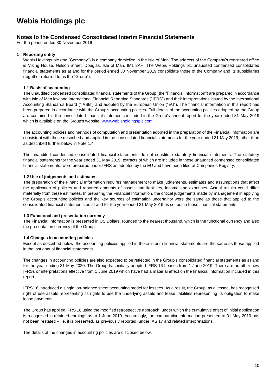### **Notes to the Condensed Consolidated Interim Financial Statements**

For the period ended 30 November 2019

#### **1 Reporting entity**

Webis Holdings plc (the "Company") is a company domiciled in the Isle of Man. The address of the Company's registered office is Viking House, Nelson Street, Douglas, Isle of Man, IM1 2AH. The Webis Holdings plc unaudited condensed consolidated financial statements as at and for the period ended 30 November 2019 consolidate those of the Company and its subsidiaries (together referred to as the "Group").

#### **1.1 Basis of accounting**

The unaudited condensed consolidated financial statements of the Group (the "Financial Information") are prepared in accordance with Isle of Man law and International Financial Reporting Standards ("IFRS") and their interpretations issued by the International Accounting Standards Board ("IASB") and adopted by the European Union ("EU"). The financial information in this report has been prepared in accordance with the Group's accounting policies. Full details of the accounting policies adopted by the Group are contained in the consolidated financial statements included in the Group's annual report for the year ended 31 May 2019 which is available on the Group's website[: www.webisholdingsplc.com.](http://www.webisholdingsplc.com/)

The accounting policies and methods of computation and presentation adopted in the preparation of the Financial Information are consistent with those described and applied in the consolidated financial statements for the year ended 31 May 2019, other than as described further below in Note 1.4.

The unaudited condensed consolidated financial statements do not constitute statutory financial statements. The statutory financial statements for the year ended 31 May 2019, extracts of which are included in these unaudited condensed consolidated financial statements, were prepared under IFRS as adopted by the EU and have been filed at Companies Registry.

#### **1.2 Use of judgements and estimates**

The preparation of the Financial Information requires management to make judgements, estimates and assumptions that affect the application of policies and reported amounts of assets and liabilities, income and expenses. Actual results could differ materially from these estimates. In preparing the Financial Information, the critical judgements made by management in applying the Group's accounting policies and the key sources of estimation uncertainty were the same as those that applied to the consolidated financial statements as at and for the year ended 31 May 2019 as set out in those financial statements.

#### **1.3 Functional and presentation currency**

The Financial Information is presented in US Dollars, rounded to the nearest thousand, which is the functional currency and also the presentation currency of the Group.

#### **1.4 Changes in accounting policies**

Except as described below, the accounting policies applied in these interim financial statements are the same as those applied in the last annual financial statements.

The changes in accounting policies are also expected to be reflected in the Group's consolidated financial statements as at and for the year ending 31 May 2020. The Group has initially adopted IFRS 16 Leases from 1 June 2019. There are no other new IFRSs or interpretations effective from 1 June 2019 which have had a material effect on the financial information included in this report.

IFRS 16 introduced a single, on-balance sheet accounting model for lessees. As a result, the Group, as a lessee, has recognised right of use assets representing its rights to use the underlying assets and lease liabilities representing its obligation to make lease payments.

The Group has applied IFRS 16 using the modified retrospective approach, under which the cumulative effect of initial application is recognised in retained earnings as at 1 June 2019. Accordingly, the comparative information presented to 31 May 2019 has not been restated – i.e. it is presented, as previously reported, under IAS 17 and related interpretations.

The details of the changes in accounting policies are disclosed below.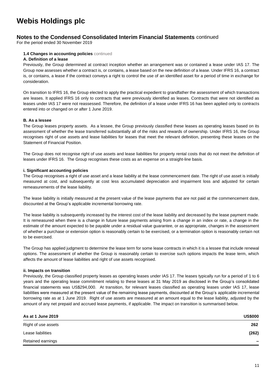### **Notes to the Condensed Consolidated Interim Financial Statements** continued

For the period ended 30 November 2019

#### **1.4 Changes in accounting policies** continued

#### **A. Definition of a lease**

Previously, the Group determined at contract inception whether an arrangement was or contained a lease under IAS 17. The Group now assesses whether a contract is, or contains, a lease based on the new definition of a lease. Under IFRS 16, a contract is, or contains, a lease if the contract conveys a right to control the use of an identified asset for a period of time in exchange for consideration.

On transition to IFRS 16, the Group elected to apply the practical expedient to grandfather the assessment of which transactions are leases. It applied IFRS 16 only to contracts that were previously identified as leases. Contracts that were not identified as leases under IAS 17 were not reassessed. Therefore, the definition of a lease under IFRS 16 has been applied only to contracts entered into or changed on or after 1 June 2019.

#### **B. As a lessee**

The Group leases property assets. As a lessee, the Group previously classified these leases as operating leases based on its assessment of whether the lease transferred substantially all of the risks and rewards of ownership. Under IFRS 16, the Group recognises right of use assets and lease liabilities for leases that meet the relevant definition, presenting these leases on the Statement of Financial Position.

The Group does not recognise right of use assets and lease liabilities for property rental costs that do not meet the definition of leases under IFRS 16. The Group recognises these costs as an expense on a straight-line basis.

#### **i. Significant accounting policies**

The Group recognises a right of use asset and a lease liability at the lease commencement date. The right of use asset is initially measured at cost, and subsequently at cost less accumulated depreciation and impairment loss and adjusted for certain remeasurements of the lease liability.

The lease liability is initially measured at the present value of the lease payments that are not paid at the commencement date, discounted at the Group's applicable incremental borrowing rate.

The lease liability is subsequently increased by the interest cost of the lease liability and decreased by the lease payment made. It is remeasured when there is a change in future lease payments arising from a change in an index or rate, a change in the estimate of the amount expected to be payable under a residual value guarantee, or as appropriate, changes in the assessment of whether a purchase or extension option is reasonably certain to be exercised, or a termination option is reasonably certain not to be exercised.

The Group has applied judgment to determine the lease term for some lease contracts in which it is a lessee that include renewal options. The assessment of whether the Group is reasonably certain to exercise such options impacts the lease term, which affects the amount of lease liabilities and right of use assets recognised.

#### **ii. Impacts on transition**

Previously, the Group classified property leases as operating leases under IAS 17. The leases typically run for a period of 1 to 6 years and the operating lease commitment relating to these leases at 31 May 2019 as disclosed in the Group's consolidated financial statements was US\$294,000. At transition, for relevant leases classified as operating leases under IAS 17, lease liabilities were measured at the present value of the remaining lease payments, discounted at the Group's applicable incremental borrowing rate as at 1 June 2019. Right of use assets are measured at an amount equal to the lease liability, adjusted by the amount of any net prepaid and accrued lease payments, if applicable. The impact on transition is summarised below.

| As at 1 June 2019   | <b>US\$000</b>           |
|---------------------|--------------------------|
| Right of use assets | 262                      |
| Lease liabilities   | (262)                    |
| Retained earnings   | $\overline{\phantom{a}}$ |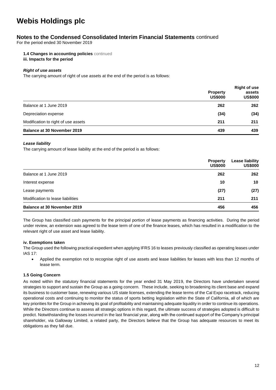### **Notes to the Condensed Consolidated Interim Financial Statements** continued

For the period ended 30 November 2019

**1.4 Changes in accounting policies** continued **iii. Impacts for the period**

#### *Right of use assets*

The carrying amount of right of use assets at the end of the period is as follows:

|                                     | <b>Property</b><br><b>US\$000</b> | <b>Right of use</b><br>assets<br><b>US\$000</b> |
|-------------------------------------|-----------------------------------|-------------------------------------------------|
| Balance at 1 June 2019              | 262                               | 262                                             |
| Depreciation expense                | (34)                              | (34)                                            |
| Modification to right of use assets | 211                               | 211                                             |
| <b>Balance at 30 November 2019</b>  | 439                               | 439                                             |

#### *Lease liability*

The carrying amount of lease liability at the end of the period is as follows:

|                                    | <b>Property</b><br><b>US\$000</b> | <b>Lease liability</b><br><b>US\$000</b> |
|------------------------------------|-----------------------------------|------------------------------------------|
| Balance at 1 June 2019             | 262                               | 262                                      |
| Interest expense                   | 10                                | 10                                       |
| Lease payments                     | (27)                              | (27)                                     |
| Modification to lease liabilities  | 211                               | 211                                      |
| <b>Balance at 30 November 2019</b> | 456                               | 456                                      |

The Group has classified cash payments for the principal portion of lease payments as financing activities. During the period under review, an extension was agreed to the lease term of one of the finance leases, which has resulted in a modification to the relevant right of use asset and lease liability.

#### **iv. Exemptions taken**

The Group used the following practical expedient when applying IFRS 16 to leases previously classified as operating leases under IAS 17:

• Applied the exemption not to recognise right of use assets and lease liabilities for leases with less than 12 months of lease term.

#### **1.5 Going Concern**

As noted within the statutory financial statements for the year ended 31 May 2019, the Directors have undertaken several strategies to support and sustain the Group as a going concern. These include, seeking to broadening its client base and expand its business to customer base, renewing various US state licenses, extending the lease terms of the Cal Expo racetrack, reducing operational costs and continuing to monitor the status of sports betting legislation within the State of California, all of which are key priorities for the Group in achieving its goal of profitability and maintaining adequate liquidity in order to continue its operations. While the Directors continue to assess all strategic options in this regard, the ultimate success of strategies adopted is difficult to predict. Notwithstanding the losses incurred in the last financial year, along with the continued support of the Company's principal shareholder, via Galloway Limited, a related party, the Directors believe that the Group has adequate resources to meet its obligations as they fall due.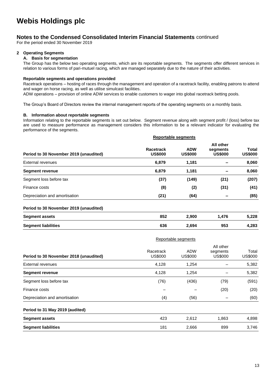### **Notes to the Condensed Consolidated Interim Financial Statements** continued

For the period ended 30 November 2019

#### **2 Operating Segments**

#### **A. Basis for segmentation**

The Group has the below two operating segments, which are its reportable segments. The segments offer different services in relation to various forms of pari-mutuel racing, which are managed separately due to the nature of their activities.

#### **Reportable segments and operations provided**

Racetrack operations – hosting of races through the management and operation of a racetrack facility, enabling patrons to attend and wager on horse racing, as well as utilise simulcast facilities.

ADW operations – provision of online ADW services to enable customers to wager into global racetrack betting pools.

The Group's Board of Directors review the internal management reports of the operating segments on a monthly basis.

#### **B. Information about reportable segments**

Information relating to the reportable segments is set out below. Segment revenue along with segment profit / (loss) before tax are used to measure performance as management considers this information to be a relevant indicator for evaluating the performance of the segments.

|                                        | <b>Reportable segments</b>  |                              |                                         |                         |
|----------------------------------------|-----------------------------|------------------------------|-----------------------------------------|-------------------------|
| Period to 30 November 2019 (unaudited) | Racetrack<br><b>US\$000</b> | <b>ADW</b><br><b>US\$000</b> | All other<br>segments<br><b>US\$000</b> | Total<br><b>US\$000</b> |
| External revenues                      | 6,879                       | 1,181                        |                                         | 8,060                   |
| <b>Segment revenue</b>                 | 6,879                       | 1,181                        | $\overline{\phantom{0}}$                | 8,060                   |
| Segment loss before tax                | (37)                        | (149)                        | (21)                                    | (207)                   |
| Finance costs                          | (8)                         | (2)                          | (31)                                    | (41)                    |
| Depreciation and amortisation          | (21)                        | (64)                         | $\overline{\phantom{a}}$                | (85)                    |

#### **Period to 30 November 2019 (unaudited)**

| <b>Segment assets</b>      | 852 | 2.900 | 476.، | 5,228 |
|----------------------------|-----|-------|-------|-------|
| <b>Segment liabilities</b> | 636 | 2,694 | 953   | 4,283 |

|                                        | Reportable segments         |                       |                                         |                         |
|----------------------------------------|-----------------------------|-----------------------|-----------------------------------------|-------------------------|
| Period to 30 November 2018 (unaudited) | Racetrack<br><b>US\$000</b> | <b>ADW</b><br>US\$000 | All other<br>segments<br><b>US\$000</b> | Total<br><b>US\$000</b> |
| External revenues                      | 4,128                       | 1,254                 |                                         | 5,382                   |
| <b>Segment revenue</b>                 | 4,128                       | 1,254                 |                                         | 5,382                   |
| Segment loss before tax                | (76)                        | (436)                 | (79)                                    | (591)                   |
| Finance costs                          |                             |                       | (20)                                    | (20)                    |
| Depreciation and amortisation          | (4)                         | (56)                  |                                         | (60)                    |
| Period to 31 May 2019 (audited)        |                             |                       |                                         |                         |
| <b>Segment assets</b>                  | 423                         | 2,612                 | 1,863                                   | 4,898                   |
| <b>Segment liabilities</b>             | 181                         | 2,666                 | 899                                     | 3,746                   |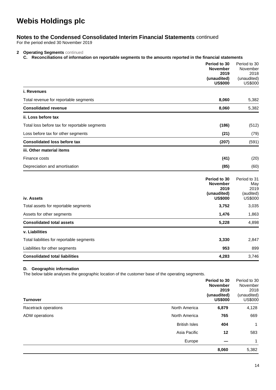### **Notes to the Condensed Consolidated Interim Financial Statements** continued

For the period ended 30 November 2019

#### **2 Operating Segments** continued

#### **C. Reconciliations of information on reportable segments to the amounts reported in the financial statements**

|                                               | Period to 30<br><b>November</b><br>2019<br>(unaudited)<br><b>US\$000</b> | Period to 30<br>November<br>2018<br>(unaudited)<br><b>US\$000</b> |
|-----------------------------------------------|--------------------------------------------------------------------------|-------------------------------------------------------------------|
| i. Revenues                                   |                                                                          |                                                                   |
| Total revenue for reportable segments         | 8,060                                                                    | 5,382                                                             |
| <b>Consolidated revenue</b>                   | 8,060                                                                    | 5,382                                                             |
| ii. Loss before tax                           |                                                                          |                                                                   |
| Total loss before tax for reportable segments | (186)                                                                    | (512)                                                             |
| Loss before tax for other segments            | (21)                                                                     | (79)                                                              |
| <b>Consolidated loss before tax</b>           | (207)                                                                    | (591)                                                             |
| iii. Other material items                     |                                                                          |                                                                   |
| Finance costs                                 | (41)                                                                     | (20)                                                              |
| Depreciation and amortisation                 | (85)                                                                     | (60)                                                              |
| iv. Assets                                    | Period to 30<br><b>November</b><br>2019<br>(unaudited)<br><b>US\$000</b> | Period to 31<br>May<br>2019<br>(audited)<br><b>US\$000</b>        |
| Total assets for reportable segments          | 3,752                                                                    | 3,035                                                             |
| Assets for other segments                     | 1,476                                                                    | 1,863                                                             |
| <b>Consolidated total assets</b>              | 5,228                                                                    | 4,898                                                             |
| v. Liabilities                                |                                                                          |                                                                   |
| Total liabilities for reportable segments     | 3,330                                                                    | 2,847                                                             |
| Liabilities for other segments                | 953                                                                      | 899                                                               |
| <b>Consolidated total liabilities</b>         | 4,283                                                                    | 3,746                                                             |

#### **D. Geographic information**

The below table analyses the geographic location of the customer base of the operating segments.

| <b>Turnover</b>      |                      | Period to 30<br><b>November</b><br>2019<br>(unaudited)<br><b>US\$000</b> | Period to 30<br>November<br>2018<br>(unaudited)<br><b>US\$000</b> |
|----------------------|----------------------|--------------------------------------------------------------------------|-------------------------------------------------------------------|
| Racetrack operations | North America        | 6,879                                                                    | 4,128                                                             |
| ADW operations       | North America        | 765                                                                      | 669                                                               |
|                      | <b>British Isles</b> | 404                                                                      | 1                                                                 |
|                      | Asia Pacific         | $12 \,$                                                                  | 583                                                               |
|                      | Europe               |                                                                          | 1                                                                 |
|                      |                      | 8,060                                                                    | 5,382                                                             |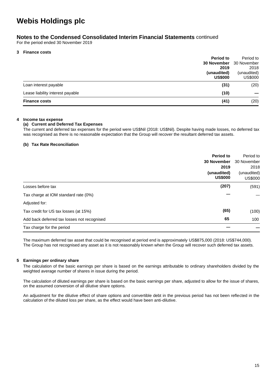### **Notes to the Condensed Consolidated Interim Financial Statements** continued

For the period ended 30 November 2019

#### **3 Finance costs**

|                                  | <b>Period to</b>               | Period to      |
|----------------------------------|--------------------------------|----------------|
|                                  | <b>30 November</b> 30 November |                |
|                                  | 2019                           | 2018           |
|                                  | (unaudited)                    | (unaudited)    |
|                                  | <b>US\$000</b>                 | <b>US\$000</b> |
| Loan interest payable            | (31)                           | (20)           |
| Lease liability interest payable | (10)                           |                |
| <b>Finance costs</b>             | (41)                           | (20)           |
|                                  |                                |                |

#### **4 Income tax expense**

#### **(a) Current and Deferred Tax Expenses**

The current and deferred tax expenses for the period were US\$Nil (2018: US\$Nil). Despite having made losses, no deferred tax was recognised as there is no reasonable expectation that the Group will recover the resultant deferred tax assets.

#### **(b) Tax Rate Reconciliation**

|                                             | <b>Period to</b><br>30 November<br>2019<br>(unaudited)<br><b>US\$000</b> | Period to<br>30 November<br>2018<br>(unaudited)<br><b>US\$000</b> |
|---------------------------------------------|--------------------------------------------------------------------------|-------------------------------------------------------------------|
| Losses before tax                           | (207)                                                                    | (591)                                                             |
| Tax charge at IOM standard rate (0%)        |                                                                          |                                                                   |
| Adjusted for:                               |                                                                          |                                                                   |
| Tax credit for US tax losses (at 15%)       | (65)                                                                     | (100)                                                             |
| Add back deferred tax losses not recognised | 65                                                                       | 100                                                               |
| Tax charge for the period                   |                                                                          |                                                                   |

The maximum deferred tax asset that could be recognised at period end is approximately US\$875,000 (2018: US\$744,000). The Group has not recognised any asset as it is not reasonably known when the Group will recover such deferred tax assets.

#### **5 Earnings per ordinary share**

The calculation of the basic earnings per share is based on the earnings attributable to ordinary shareholders divided by the weighted average number of shares in issue during the period.

The calculation of diluted earnings per share is based on the basic earnings per share, adjusted to allow for the issue of shares, on the assumed conversion of all dilutive share options.

An adjustment for the dilutive effect of share options and convertible debt in the previous period has not been reflected in the calculation of the diluted loss per share, as the effect would have been anti-dilutive.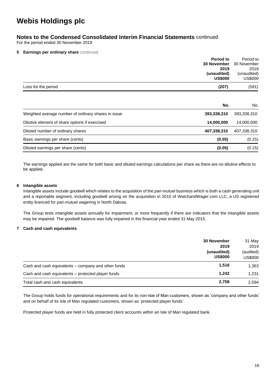### **Notes to the Condensed Consolidated Interim Financial Statements** continued

For the period ended 30 November 2019

#### **5 Earnings per ordinary share** continued

| <b>Period to</b><br><b>30 November</b><br>2019<br>(unaudited)<br><b>US\$000</b> | Period to<br>30 November<br>2018<br>(unaudited)<br><b>US\$000</b> |
|---------------------------------------------------------------------------------|-------------------------------------------------------------------|
| Loss for the period<br>(207)                                                    | (591)                                                             |
| No.                                                                             | No.                                                               |
| Weighted average number of ordinary shares in issue<br>393,338,310              | 393,338,310                                                       |
| Dilutive element of share options if exercised<br>14,000,000                    | 14,000,000                                                        |
| 407,338,310<br>Diluted number of ordinary shares                                | 407,338,310                                                       |
| (0.05)<br>Basic earnings per share (cents)                                      | (0.15)                                                            |
| Diluted earnings per share (cents)<br>(0.05)                                    | (0.15)                                                            |

The earnings applied are the same for both basic and diluted earnings calculations per share as there are no dilutive effects to be applied.

#### **6 Intangible assets**

Intangible assets include goodwill which relates to the acquisition of the pari-mutuel business which is both a cash generating unit and a reportable segment, including goodwill arising on the acquisition in 2010 of WatchandWager.com LLC, a US registered entity licenced for pari-mutuel wagering in North Dakota.

The Group tests intangible assets annually for impairment, or more frequently if there are indicators that the intangible assets may be impaired. The goodwill balance was fully impaired in the financial year ended 31 May 2015.

#### **7 Cash and cash equivalents**

|                                                     | <b>30 November</b><br>2019<br>(unaudited)<br><b>US\$000</b> | 31 May<br>2019<br>(audited)<br><b>US\$000</b> |
|-----------------------------------------------------|-------------------------------------------------------------|-----------------------------------------------|
|                                                     |                                                             |                                               |
| Cash and cash equivalents – company and other funds | 1,516                                                       | 1,363                                         |
| Cash and cash equivalents – protected player funds  | 1.242                                                       | 1,231                                         |
| Total cash and cash equivalents                     | 2.758                                                       | 2,594                                         |

The Group holds funds for operational requirements and for its non-Isle of Man customers, shown as 'company and other funds' and on behalf of its Isle of Man regulated customers, shown as 'protected player funds'.

Protected player funds are held in fully protected client accounts within an Isle of Man regulated bank.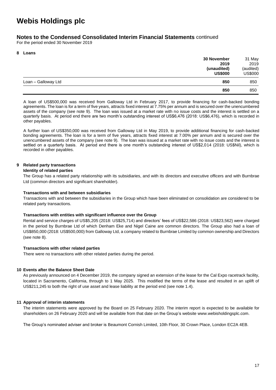### **Notes to the Condensed Consolidated Interim Financial Statements** continued

For the period ended 30 November 2019

#### **8 Loans**

|                     | 30 November    | 31 May         |
|---------------------|----------------|----------------|
|                     | 2019           | 2019           |
|                     | (unaudited)    | (audited)      |
|                     | <b>US\$000</b> | <b>US\$000</b> |
| Loan - Galloway Ltd | 850            | 850            |
|                     | 850            | 850            |

A loan of US\$500,000 was received from Galloway Ltd in February 2017, to provide financing for cash-backed bonding agreements. The loan is for a term of five years, attracts fixed interest at 7.75% per annum and is secured over the unencumbered assets of the company (see note 9). The loan was issued at a market rate with no issue costs and the interest is settled on a quarterly basis. At period end there are two month's outstanding interest of US\$6,476 (2018: US\$6,476), which is recorded in other payables.

A further loan of US\$350,000 was received from Galloway Ltd in May 2019, to provide additional financing for cash-backed bonding agreements. The loan is for a term of five years, attracts fixed interest at 7.00% per annum and is secured over the unencumbered assets of the company (see note 9). The loan was issued at a market rate with no issue costs and the interest is settled on a quarterly basis. At period end there is one month's outstanding interest of US\$2,014 (2018: US\$Nil), which is recorded in other payables.

#### **9 Related party transactions**

#### **Identity of related parties**

The Group has a related party relationship with its subsidiaries, and with its directors and executive officers and with Burnbrae Ltd (common directors and significant shareholder).

#### **Transactions with and between subsidiaries**

Transactions with and between the subsidiaries in the Group which have been eliminated on consolidation are considered to be related party transactions.

#### **Transactions with entities with significant influence over the Group**

Rental and service charges of US\$5,205 (2018: US\$25,714) and directors' fees of US\$22,586 (2018: US\$23,562) were charged in the period by Burnbrae Ltd of which Denham Eke and Nigel Caine are common directors. The Group also had a loan of US\$850,000 (2018: US\$500,000) from Galloway Ltd, a company related to Burnbrae Limited by common ownership and Directors (see note 8).

#### **Transactions with other related parties**

There were no transactions with other related parties during the period.

#### **10 Events after the Balance Sheet Date**

As previously announced on 4 December 2019, the company signed an extension of the lease for the Cal Expo racetrack facility, located in Sacramento, California, through to 1 May 2025. This modified the terms of the lease and resulted in an uplift of US\$211,245 to both the right of use asset and lease liability at the period end (see note 1.4).

#### **11 Approval of interim statements**

The interim statements were approved by the Board on 25 February 2020. The interim report is expected to be available for shareholders on 26 February 2020 and will be available from that date on the Group's website www.webisholdingsplc.com.

The Group's nominated adviser and broker is Beaumont Cornish Limited, 10th Floor, 30 Crown Place, London EC2A 4EB.